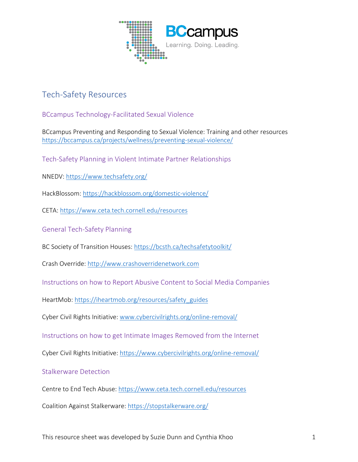

## Tech-Safety Resources

BCcampus Technology-Facilitated Sexual Violence

BCcampus Preventing and Responding to Sexual Violence: Training and other resources <https://bccampus.ca/projects/wellness/preventing-sexual-violence/>

Tech-Safety Planning in Violent Intimate Partner Relationships

NNEDV:<https://www.techsafety.org/>

HackBlossom[: https://hackblossom.org/domestic-violence/](https://hackblossom.org/domestic-violence/) 

CETA:<https://www.ceta.tech.cornell.edu/resources>

General Tech-Safety Planning

BC Society of Transition Houses:<https://bcsth.ca/techsafetytoolkit/>

Crash Override: [http://www.crashoverridenetwork.com](http://www.crashoverridenetwork.com/)

Instructions on how to Report Abusive Content to Social Media Companies

HeartMob: [https://iheartmob.org/resources/safety\\_guides](https://iheartmob.org/resources/safety_guides)

Cyber Civil Rights Initiative: [www.cybercivilrights.org/online-removal/](http://www.cybercivilrights.org/online-removal/)

Instructions on how to get Intimate Images Removed from the Internet

Cyber Civil Rights Initiative:<https://www.cybercivilrights.org/online-removal/>

## Stalkerware Detection

Centre to End Tech Abuse:<https://www.ceta.tech.cornell.edu/resources>

Coalition Against Stalkerware:<https://stopstalkerware.org/>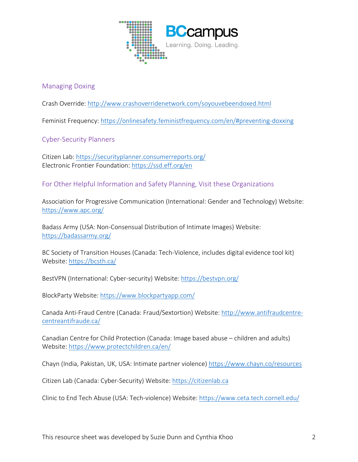

## Managing Doxing

Crash Override:<http://www.crashoverridenetwork.com/soyouvebeendoxed.html>

Feminist Frequency:<https://onlinesafety.feministfrequency.com/en/#preventing-doxxing>

Cyber-Security Planners

Citizen Lab:<https://securityplanner.consumerreports.org/> Electronic Frontier Foundation:<https://ssd.eff.org/en>

For Other Helpful Information and Safety Planning, Visit these Organizations

Association for Progressive Communication (International: Gender and Technology) Website: <https://www.apc.org/>

Badass Army (USA: Non-Consensual Distribution of Intimate Images) Website: <https://badassarmy.org/>

BC Society of Transition Houses (Canada: Tech-Violence, includes digital evidence tool kit) Website:<https://bcsth.ca/>

BestVPN (International: Cyber-security) Website:<https://bestvpn.org/>

BlockParty Website:<https://www.blockpartyapp.com/>

Canada Anti-Fraud Centre (Canada: Fraud/Sextortion) Website: [http://www.antifraudcentre](http://www.antifraudcentre-centreantifraude.ca/)[centreantifraude.ca/](http://www.antifraudcentre-centreantifraude.ca/) 

Canadian Centre for Child Protection (Canada: Image based abuse – children and adults) Website:<https://www.protectchildren.ca/en/>

Chayn (India, Pakistan, UK, USA: Intimate partner violence)<https://www.chayn.co/resources>

Citizen Lab (Canada: Cyber-Security) Website: [https://citizenlab.ca](https://citizenlab.ca/) 

Clinic to End Tech Abuse (USA: Tech-violence) Website:<https://www.ceta.tech.cornell.edu/>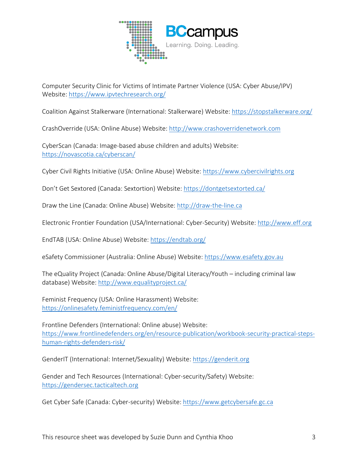

Computer Security Clinic for Victims of Intimate Partner Violence (USA: Cyber Abuse/IPV) Website:<https://www.ipvtechresearch.org/>

Coalition Against Stalkerware (International: Stalkerware) Website:<https://stopstalkerware.org/>

CrashOverride (USA: Online Abuse) Website: [http://www.crashoverridenetwork.com](http://www.crashoverridenetwork.com/) 

CyberScan (Canada: Image-based abuse children and adults) Website: <https://novascotia.ca/cyberscan/>

Cyber Civil Rights Initiative (USA: Online Abuse) Website: [https://www.cybercivilrights.org](https://www.cybercivilrights.org/) 

Don't Get Sextored (Canada: Sextortion) Website:<https://dontgetsextorted.ca/>

Draw the Line (Canada: Online Abuse) Website: [http://draw-the-line.ca](http://draw-the-line.ca/)

Electronic Frontier Foundation (USA/International: Cyber-Security) Website[: http://www.eff.org](http://www.eff.org/) 

EndTAB (USA: Online Abuse) Website:<https://endtab.org/>

eSafety Commissioner (Australia: Online Abuse) Website: [https://www.esafety.gov.au](https://www.esafety.gov.au/)

The eQuality Project (Canada: Online Abuse/Digital Literacy/Youth – including criminal law database) Website:<http://www.equalityproject.ca/>

Feminist Frequency (USA: Online Harassment) Website: <https://onlinesafety.feministfrequency.com/en/>

Frontline Defenders (International: Online abuse) Website: [https://www.frontlinedefenders.org/en/resource-publication/workbook-security-practical-steps](https://www.frontlinedefenders.org/en/resource-publication/workbook-security-practical-steps-human-rights-defenders-risk/)[human-rights-defenders-risk/](https://www.frontlinedefenders.org/en/resource-publication/workbook-security-practical-steps-human-rights-defenders-risk/) 

GenderIT (International: Internet/Sexuality) Website: [https://genderit.org](https://genderit.org/) 

Gender and Tech Resources (International: Cyber-security/Safety) Website: [https://gendersec.tacticaltech.org](https://gendersec.tacticaltech.org/) 

Get Cyber Safe (Canada: Cyber-security) Website: [https://www.getcybersafe.gc.ca](https://www.getcybersafe.gc.ca/)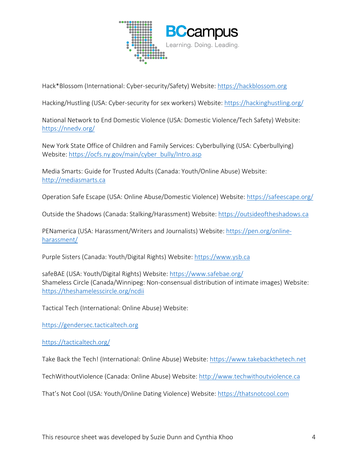

Hack\*Blossom (International: Cyber-security/Safety) Website: [https://hackblossom.org](https://hackblossom.org/)

Hacking/Hustling (USA: Cyber-security for sex workers) Website:<https://hackinghustling.org/>

National Network to End Domestic Violence (USA: Domestic Violence/Tech Safety) Website: <https://nnedv.org/>

New York State Office of Children and Family Services: Cyberbullying (USA: Cyberbullying) Website: https://ocfs.ny.gov/main/cyber\_bully/Intro.asp

Media Smarts: Guide for Trusted Adults (Canada: Youth/Online Abuse) Website: [http://mediasmarts.ca](http://mediasmarts.ca/) 

Operation Safe Escape (USA: Online Abuse/Domestic Violence) Website:<https://safeescape.org/>

Outside the Shadows (Canada: Stalking/Harassment) Website: [https://outsideoftheshadows.ca](https://outsideoftheshadows.ca/) 

PENamerica (USA: Harassment/Writers and Journalists) Website[: https://pen.org/online](https://pen.org/online-harassment/)[harassment/](https://pen.org/online-harassment/) 

Purple Sisters (Canada: Youth/Digital Rights) Website[: https://www.ysb.ca](https://www.ysb.ca/)

safeBAE (USA: Youth/Digital Rights) Website:<https://www.safebae.org/> Shameless Circle (Canada/Winnipeg: Non-consensual distribution of intimate images) Website: <https://theshamelesscircle.org/ncdii>

Tactical Tech (International: Online Abuse) Website:

[https://gendersec.tacticaltech.org](https://gendersec.tacticaltech.org/) 

<https://tacticaltech.org/>

Take Back the Tech! (International: Online Abuse) Website: [https://www.takebackthetech.net](https://www.takebackthetech.net/) 

TechWithoutViolence (Canada: Online Abuse) Website: [http://www.techwithoutviolence.ca](http://www.techwithoutviolence.ca/) 

That's Not Cool (USA: Youth/Online Dating Violence) Website: [https://thatsnotcool.com](https://thatsnotcool.com/)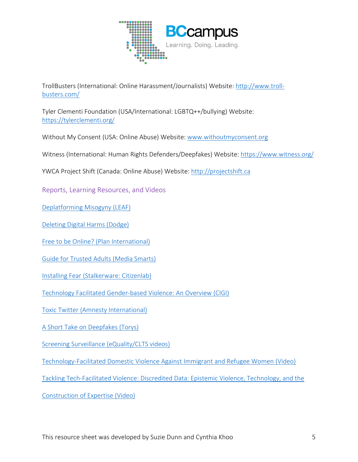

TrollBusters (International: Online Harassment/Journalists) Website: [http://www.troll](http://www.troll-busters.com/)[busters.com/](http://www.troll-busters.com/) 

Tyler Clementi Foundation (USA/International: LGBTQ++/bullying) Website: <https://tylerclementi.org/>

Without My Consent (USA: Online Abuse) Website: [www.withoutmyconsent.org](http://www.withoutmyconsent.org/) 

Witness (International: Human Rights Defenders/Deepfakes) Website:<https://www.witness.org/>

YWCA Project Shift (Canada: Online Abuse) Website: [http://projectshift.ca](http://projectshift.ca/) 

Reports, Learning Resources, and Videos

[Deplatforming Misogyny \(LEAF\)](https://www.leaf.ca/publication/deplatforming-misogyny/)

[Deleting Digital Harms \(Dodge\)](https://www.google.com/url?sa=t&rct=j&q=&esrc=s&source=web&cd=&cad=rja&uact=8&ved=2ahUKEwiAovX40Zb2AhXSmOAKHZwMCf0QFnoECAIQAQ&url=https%3A%2F%2Fwww.vawlearningnetwork.ca%2Fdocs%2FCyberScan-Report.pdf&usg=AOvVaw0ZXJ3-I6Hall_MNkwaGZ9P)

[Free to be Online? \(Plan International\)](https://plan-international.org/publications/freetobeonline)

[Guide for Trusted Adults \(Media Smarts\)](https://www.google.com/url?sa=t&rct=j&q=&esrc=s&source=web&cd=&ved=2ahUKEwiK_qDwxpb2AhXIMd8KHVbDCvwQFnoECAMQAQ&url=https%3A%2F%2Fmediasmarts.ca%2Fsites%2Fdefault%2Ffiles%2Fguides%2Fywca-guide-for-trusted-adults.pdf&usg=AOvVaw1youj1e5aNN2Up3DACeKdD)

[Installing Fear \(Stalkerware: Citizenlab\)](https://citizenlab.ca/2019/06/installing-fear-a-canadian-legal-and-policy-analysis-of-using-developing-and-selling-smartphone-spyware-and-stalkerware-applications/)

[Technology Facilitated Gender-based Violence: An Overview \(CIGI\)](https://www.cigionline.org/publications/technology-facilitated-gender-based-violence-overview/)

[Toxic Twitter \(Amnesty International\)](https://www.amnesty.org/en/latest/research/2018/03/online-violence-against-women-chapter-1/)

[A Short Take on Deepfakes \(Torys\)](https://www.torys.com/Our%20Latest%20Thinking/Publications/2019/05/a-short-take-on-deepfakes/)

[Screening Surveillance \(eQuality/CLTS videos\)](https://www.youtube.com/watch?v=4EvlGLeuPA4&list=PLfupF9mo9X04dXYUdH_BJUtoZMVSxjH8E)

[Technology-Facilitated Domestic Violence Against Immigrant and Refugee Women \(Video\)](https://www.youtube.com/watch?v=WmH9aQXAvg4)

[Tackling Tech-Facilitated Violence: Discredited Data: Epistemic Violence, Technology, and the](https://www.youtube.com/watch?v=V1VSrs-sJRY) 

[Construction of Expertise \(Video\)](https://www.youtube.com/watch?v=V1VSrs-sJRY)